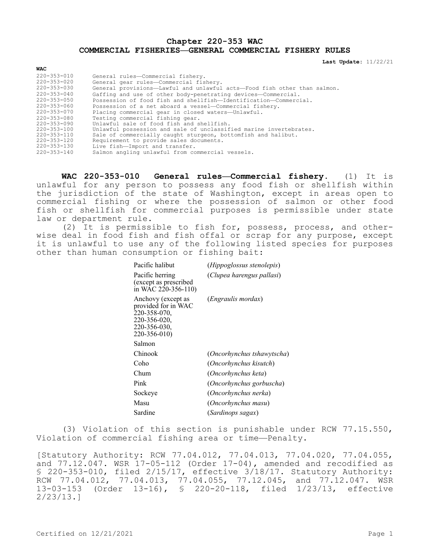## **Chapter 220-353 WAC COMMERCIAL FISHERIES—GENERAL COMMERCIAL FISHERY RULES**

**Last Update:** 11/22/21

| WAC               |                                                                          |
|-------------------|--------------------------------------------------------------------------|
| 220-353-010       | General rules-Commercial fishery.                                        |
| 220-353-020       | General gear rules-Commercial fishery.                                   |
| $220 - 353 - 030$ | General provisions-Lawful and unlawful acts-Food fish other than salmon. |
| $220 - 353 - 040$ | Gaffing and use of other body-penetrating devices-Commercial.            |
| $220 - 353 - 050$ | Possession of food fish and shellfish-Identification-Commercial.         |
| 220-353-060       | Possession of a net aboard a vessel-Commercial fishery.                  |
| $220 - 353 - 070$ | Placing commercial gear in closed waters-Unlawful.                       |
| $220 - 353 - 080$ | Testing commercial fishing gear.                                         |
| $220 - 353 - 090$ | Unlawful sale of food fish and shellfish.                                |
| $220 - 353 - 100$ | Unlawful possession and sale of unclassified marine invertebrates.       |
| 220-353-110       | Sale of commercially caught sturgeon, bottomfish and halibut.            |
| $220 - 353 - 120$ | Requirement to provide sales documents.                                  |
| $220 - 353 - 130$ | Live fish-Import and transfer.                                           |
| $220 - 353 - 140$ | Salmon angling unlawful from commercial vessels.                         |

**WAC 220-353-010 General rules—Commercial fishery.** (1) It is unlawful for any person to possess any food fish or shellfish within the jurisdiction of the state of Washington, except in areas open to commercial fishing or where the possession of salmon or other food fish or shellfish for commercial purposes is permissible under state law or department rule.

(2) It is permissible to fish for, possess, process, and otherwise deal in food fish and fish offal or scrap for any purpose, except it is unlawful to use any of the following listed species for purposes other than human consumption or fishing bait:

| Pacific halibut                                                                                           | (Hippoglossus stenolepis)  |
|-----------------------------------------------------------------------------------------------------------|----------------------------|
| Pacific herring<br>(except as prescribed<br>in WAC 220-356-110)                                           | (Clupea harengus pallasi)  |
| Anchovy (except as<br>provided for in WAC<br>220-358-070.<br>220-356-020,<br>220-356-030,<br>220-356-010) | (Engraulis mordax)         |
| Salmon                                                                                                    |                            |
| Chinook                                                                                                   | (Oncorhynchus tshawytscha) |
| Coho                                                                                                      | (Oncorhynchus kisutch)     |
| Chum                                                                                                      | (Oncorhynchus keta)        |
| Pink                                                                                                      | (Oncorhynchus gorbuscha)   |
| Sockeye                                                                                                   | (Oncorhynchus nerka)       |
| Masu                                                                                                      | (Oncorhynchus masu)        |
| Sardine                                                                                                   | (Sardinops sagax)          |
|                                                                                                           |                            |

(3) Violation of this section is punishable under RCW 77.15.550, Violation of commercial fishing area or time—Penalty.

[Statutory Authority: RCW 77.04.012, 77.04.013, 77.04.020, 77.04.055, and 77.12.047. WSR 17-05-112 (Order 17-04), amended and recodified as § 220-353-010, filed 2/15/17, effective 3/18/17. Statutory Authority: RCW 77.04.012, 77.04.013, 77.04.055, 77.12.045, and 77.12.047. WSR 13-03-153 (Order 13-16), § 220-20-118, filed 1/23/13, effective 2/23/13.]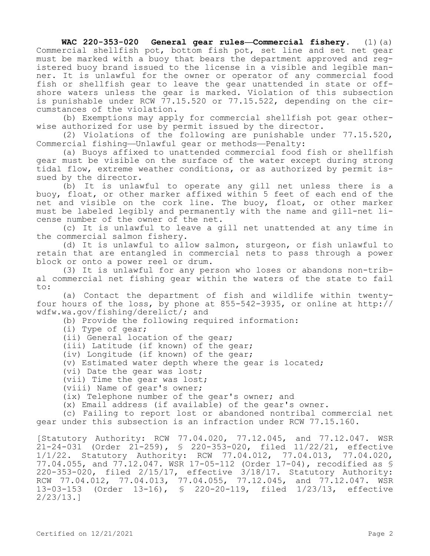**WAC 220-353-020 General gear rules—Commercial fishery.** (1)(a) Commercial shellfish pot, bottom fish pot, set line and set net gear must be marked with a buoy that bears the department approved and registered buoy brand issued to the license in a visible and legible manner. It is unlawful for the owner or operator of any commercial food fish or shellfish gear to leave the gear unattended in state or offshore waters unless the gear is marked. Violation of this subsection is punishable under RCW 77.15.520 or 77.15.522, depending on the circumstances of the violation.

(b) Exemptions may apply for commercial shellfish pot gear otherwise authorized for use by permit issued by the director.

(2) Violations of the following are punishable under 77.15.520, Commercial fishing—Unlawful gear or methods—Penalty:

(a) Buoys affixed to unattended commercial food fish or shellfish gear must be visible on the surface of the water except during strong tidal flow, extreme weather conditions, or as authorized by permit issued by the director.

(b) It is unlawful to operate any gill net unless there is a buoy, float, or other marker affixed within 5 feet of each end of the net and visible on the cork line. The buoy, float, or other marker must be labeled legibly and permanently with the name and gill-net license number of the owner of the net.

(c) It is unlawful to leave a gill net unattended at any time in the commercial salmon fishery.

(d) It is unlawful to allow salmon, sturgeon, or fish unlawful to retain that are entangled in commercial nets to pass through a power block or onto a power reel or drum.

(3) It is unlawful for any person who loses or abandons non-tribal commercial net fishing gear within the waters of the state to fail to:

(a) Contact the department of fish and wildlife within twentyfour hours of the loss, by phone at 855-542-3935, or online at http:// wdfw.wa.gov/fishing/derelict/; and

(b) Provide the following required information:

(i) Type of gear;

(ii) General location of the gear;

(iii) Latitude (if known) of the gear;

(iv) Longitude (if known) of the gear;

(v) Estimated water depth where the gear is located;

(vi) Date the gear was lost;

(vii) Time the gear was lost;

(viii) Name of gear's owner;

(ix) Telephone number of the gear's owner; and

(x) Email address (if available) of the gear's owner.

(c) Failing to report lost or abandoned nontribal commercial net gear under this subsection is an infraction under RCW 77.15.160.

[Statutory Authority: RCW 77.04.020, 77.12.045, and 77.12.047. WSR 21-24-031 (Order 21-259), § 220-353-020, filed 11/22/21, effective 1/1/22. Statutory Authority: RCW 77.04.012, 77.04.013, 77.04.020, 77.04.055, and 77.12.047. WSR 17-05-112 (Order 17-04), recodified as § 220-353-020, filed 2/15/17, effective 3/18/17. Statutory Authority: RCW 77.04.012, 77.04.013, 77.04.055, 77.12.045, and 77.12.047. WSR 13-03-153 (Order 13-16), § 220-20-119, filed 1/23/13, effective 2/23/13.]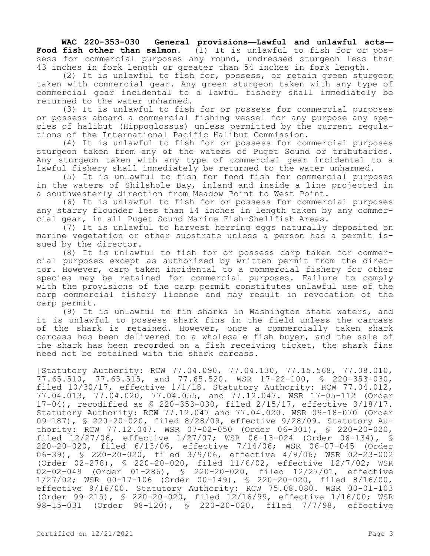**WAC 220-353-030 General provisions—Lawful and unlawful acts— Food fish other than salmon.** (1) It is unlawful to fish for or possess for commercial purposes any round, undressed sturgeon less than 43 inches in fork length or greater than 54 inches in fork length.

(2) It is unlawful to fish for, possess, or retain green sturgeon taken with commercial gear. Any green sturgeon taken with any type of commercial gear incidental to a lawful fishery shall immediately be returned to the water unharmed.

(3) It is unlawful to fish for or possess for commercial purposes or possess aboard a commercial fishing vessel for any purpose any species of halibut (Hippoglossus) unless permitted by the current regulations of the International Pacific Halibut Commission.

(4) It is unlawful to fish for or possess for commercial purposes sturgeon taken from any of the waters of Puget Sound or tributaries. Any sturgeon taken with any type of commercial gear incidental to a lawful fishery shall immediately be returned to the water unharmed.

(5) It is unlawful to fish for food fish for commercial purposes in the waters of Shilshole Bay, inland and inside a line projected in a southwesterly direction from Meadow Point to West Point.

(6) It is unlawful to fish for or possess for commercial purposes any starry flounder less than 14 inches in length taken by any commercial gear, in all Puget Sound Marine Fish-Shellfish Areas.

(7) It is unlawful to harvest herring eggs naturally deposited on marine vegetation or other substrate unless a person has a permit issued by the director.

(8) It is unlawful to fish for or possess carp taken for commercial purposes except as authorized by written permit from the director. However, carp taken incidental to a commercial fishery for other species may be retained for commercial purposes. Failure to comply with the provisions of the carp permit constitutes unlawful use of the carp commercial fishery license and may result in revocation of the carp permit.

(9) It is unlawful to fin sharks in Washington state waters, and it is unlawful to possess shark fins in the field unless the carcass of the shark is retained. However, once a commercially taken shark carcass has been delivered to a wholesale fish buyer, and the sale of the shark has been recorded on a fish receiving ticket, the shark fins need not be retained with the shark carcass.

[Statutory Authority: RCW 77.04.090, 77.04.130, 77.15.568, 77.08.010, 77.65.510, 77.65.515, and 77.65.520. WSR 17-22-100, § 220-353-030, filed 10/30/17, effective 1/1/18. Statutory Authority: RCW 77.04.012, 77.04.013, 77.04.020, 77.04.055, and 77.12.047. WSR 17-05-112 (Order 17-04), recodified as § 220-353-030, filed 2/15/17, effective 3/18/17. Statutory Authority: RCW 77.12.047 and 77.04.020. WSR 09-18-070 (Order 09-187), § 220-20-020, filed 8/28/09, effective 9/28/09. Statutory Authority: RCW 77.12.047. WSR 07-02-050 (Order 06-301), § 220-20-020, filed 12/27/06, effective 1/27/07; WSR 06-13-024 (Order 06-134), § 220-20-020, filed 6/13/06, effective 7/14/06; WSR 06-07-045 (Order 06-39), § 220-20-020, filed 3/9/06, effective 4/9/06; WSR 02-23-002 (Order 02-278), § 220-20-020, filed 11/6/02, effective 12/7/02; WSR 02-02-049 (Order 01-286), § 220-20-020, filed 12/27/01, effective 1/27/02; WSR 00-17-106 (Order 00-149), § 220-20-020, filed 8/16/00, effective 9/16/00. Statutory Authority: RCW 75.08.080. WSR 00-01-103 (Order 99-215), § 220-20-020, filed 12/16/99, effective 1/16/00; WSR 98-15-031 (Order 98-120), § 220-20-020, filed 7/7/98, effective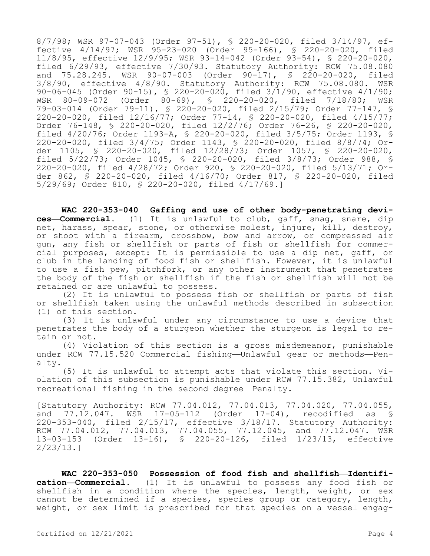8/7/98; WSR 97-07-043 (Order 97-51), § 220-20-020, filed 3/14/97, effective 4/14/97; WSR 95-23-020 (Order 95-166), § 220-20-020, filed 11/8/95, effective 12/9/95; WSR 93-14-042 (Order 93-54), § 220-20-020, filed 6/29/93, effective 7/30/93. Statutory Authority: RCW 75.08.080 and 75.28.245. WSR 90-07-003 (Order 90-17), § 220-20-020, filed 3/8/90, effective 4/8/90. Statutory Authority: RCW 75.08.080. WSR 90-06-045 (Order 90-15), § 220-20-020, filed 3/1/90, effective 4/1/90; WSR 80-09-072 (Order 80-69), § 220-20-020, filed 7/18/80; WSR 79-03-014 (Order 79-11), § 220-20-020, filed 2/15/79; Order 77-147, § 220-20-020, filed 12/16/77; Order 77-14, § 220-20-020, filed 4/15/77; Order 76-148, § 220-20-020, filed 12/2/76; Order 76-26, § 220-20-020, filed 4/20/76; Order 1193-A, § 220-20-020, filed 3/5/75; Order 1193, § 220-20-020, filed 3/4/75; Order 1143, § 220-20-020, filed 8/8/74; Order 1105, § 220-20-020, filed 12/28/73; Order 1057, § 220-20-020, filed 5/22/73; Order 1045, § 220-20-020, filed 3/8/73; Order 988, § 220-20-020, filed 4/28/72; Order 920, § 220-20-020, filed 5/13/71; Order 862, § 220-20-020, filed 4/16/70; Order 817, § 220-20-020, filed 5/29/69; Order 810, § 220-20-020, filed 4/17/69.]

**WAC 220-353-040 Gaffing and use of other body-penetrating devices—Commercial.** (1) It is unlawful to club, gaff, snag, snare, dip net, harass, spear, stone, or otherwise molest, injure, kill, destroy, or shoot with a firearm, crossbow, bow and arrow, or compressed air gun, any fish or shellfish or parts of fish or shellfish for commercial purposes, except: It is permissible to use a dip net, gaff, or club in the landing of food fish or shellfish. However, it is unlawful to use a fish pew, pitchfork, or any other instrument that penetrates the body of the fish or shellfish if the fish or shellfish will not be retained or are unlawful to possess.

(2) It is unlawful to possess fish or shellfish or parts of fish or shellfish taken using the unlawful methods described in subsection (1) of this section.

(3) It is unlawful under any circumstance to use a device that penetrates the body of a sturgeon whether the sturgeon is legal to retain or not.

(4) Violation of this section is a gross misdemeanor, punishable under RCW 77.15.520 Commercial fishing—Unlawful gear or methods—Penalty.

(5) It is unlawful to attempt acts that violate this section. Violation of this subsection is punishable under RCW 77.15.382, Unlawful recreational fishing in the second degree—Penalty.

[Statutory Authority: RCW 77.04.012, 77.04.013, 77.04.020, 77.04.055, and 77.12.047. WSR 17-05-112 (Order 17-04), recodified as § 220-353-040, filed 2/15/17, effective 3/18/17. Statutory Authority: RCW 77.04.012, 77.04.013, 77.04.055, 77.12.045, and 77.12.047. WSR 13-03-153 (Order 13-16), § 220-20-126, filed 1/23/13, effective 2/23/13.]

**WAC 220-353-050 Possession of food fish and shellfish—Identification—Commercial.** (1) It is unlawful to possess any food fish or shellfish in a condition where the species, length, weight, or sex cannot be determined if a species, species group or category, length, weight, or sex limit is prescribed for that species on a vessel engag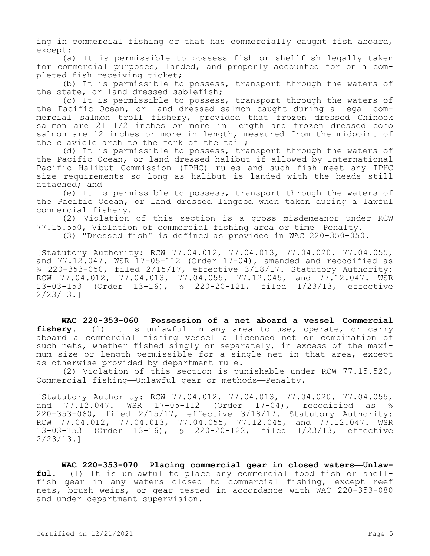ing in commercial fishing or that has commercially caught fish aboard, except:

(a) It is permissible to possess fish or shellfish legally taken for commercial purposes, landed, and properly accounted for on a completed fish receiving ticket;

(b) It is permissible to possess, transport through the waters of the state, or land dressed sablefish;

(c) It is permissible to possess, transport through the waters of the Pacific Ocean, or land dressed salmon caught during a legal commercial salmon troll fishery, provided that frozen dressed Chinook salmon are 21 1/2 inches or more in length and frozen dressed coho salmon are 12 inches or more in length, measured from the midpoint of the clavicle arch to the fork of the tail;

(d) It is permissible to possess, transport through the waters of the Pacific Ocean, or land dressed halibut if allowed by International Pacific Halibut Commission (IPHC) rules and such fish meet any IPHC size requirements so long as halibut is landed with the heads still attached; and

(e) It is permissible to possess, transport through the waters of the Pacific Ocean, or land dressed lingcod when taken during a lawful commercial fishery.

(2) Violation of this section is a gross misdemeanor under RCW 77.15.550, Violation of commercial fishing area or time—Penalty.

(3) "Dressed fish" is defined as provided in WAC 220-350-050.

[Statutory Authority: RCW 77.04.012, 77.04.013, 77.04.020, 77.04.055, and 77.12.047. WSR 17-05-112 (Order 17-04), amended and recodified as § 220-353-050, filed 2/15/17, effective 3/18/17. Statutory Authority: RCW 77.04.012, 77.04.013, 77.04.055, 77.12.045, and 77.12.047. WSR 13-03-153 (Order 13-16), § 220-20-121, filed 1/23/13, effective 2/23/13.]

**WAC 220-353-060 Possession of a net aboard a vessel—Commercial fishery.** (1) It is unlawful in any area to use, operate, or carry aboard a commercial fishing vessel a licensed net or combination of such nets, whether fished singly or separately, in excess of the maximum size or length permissible for a single net in that area, except as otherwise provided by department rule.

(2) Violation of this section is punishable under RCW 77.15.520, Commercial fishing—Unlawful gear or methods—Penalty.

[Statutory Authority: RCW 77.04.012, 77.04.013, 77.04.020, 77.04.055, and 77.12.047. WSR 17-05-112 (Order 17-04), recodified as § 220-353-060, filed 2/15/17, effective 3/18/17. Statutory Authority: RCW 77.04.012, 77.04.013, 77.04.055, 77.12.045, and 77.12.047. WSR 13-03-153 (Order 13-16), § 220-20-122, filed 1/23/13, effective 2/23/13.]

**WAC 220-353-070 Placing commercial gear in closed waters—Unlawful.** (1) It is unlawful to place any commercial food fish or shellfish gear in any waters closed to commercial fishing, except reef nets, brush weirs, or gear tested in accordance with WAC 220-353-080 and under department supervision.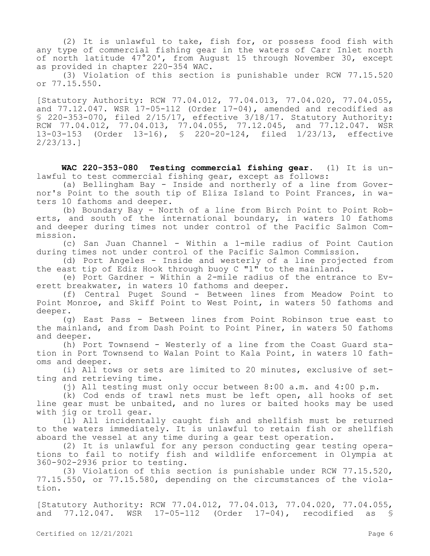(2) It is unlawful to take, fish for, or possess food fish with any type of commercial fishing gear in the waters of Carr Inlet north of north latitude 47°20', from August 15 through November 30, except as provided in chapter 220-354 WAC.

(3) Violation of this section is punishable under RCW 77.15.520 or 77.15.550.

[Statutory Authority: RCW 77.04.012, 77.04.013, 77.04.020, 77.04.055, and  $77.12.047$ . WSR  $17-05-112$  (Order  $17-04$ ), amended and recodified as § 220-353-070, filed 2/15/17, effective 3/18/17. Statutory Authority: RCW 77.04.012, 77.04.013, 77.04.055, 77.12.045, and 77.12.047. WSR<br>13-03-153 (Order 13-16), § 220-20-124, filed 1/23/13, effective 13-03-153 (Order 13-16), § 220-20-124, filed 1/23/13, effective 2/23/13.]

**WAC 220-353-080 Testing commercial fishing gear.** (1) It is unlawful to test commercial fishing gear, except as follows:

(a) Bellingham Bay - Inside and northerly of a line from Governor's Point to the south tip of Eliza Island to Point Frances, in waters 10 fathoms and deeper.

(b) Boundary Bay - North of a line from Birch Point to Point Roberts, and south of the international boundary, in waters 10 fathoms and deeper during times not under control of the Pacific Salmon Commission.

(c) San Juan Channel - Within a 1-mile radius of Point Caution during times not under control of the Pacific Salmon Commission.

(d) Port Angeles - Inside and westerly of a line projected from the east tip of Ediz Hook through buoy C "1" to the mainland.

(e) Port Gardner - Within a 2-mile radius of the entrance to Everett breakwater, in waters 10 fathoms and deeper.

(f) Central Puget Sound - Between lines from Meadow Point to Point Monroe, and Skiff Point to West Point, in waters 50 fathoms and deeper.

(g) East Pass - Between lines from Point Robinson true east to the mainland, and from Dash Point to Point Piner, in waters 50 fathoms and deeper.

(h) Port Townsend - Westerly of a line from the Coast Guard station in Port Townsend to Walan Point to Kala Point, in waters 10 fathoms and deeper.

(i) All tows or sets are limited to 20 minutes, exclusive of setting and retrieving time.

(j) All testing must only occur between 8:00 a.m. and 4:00 p.m.

(k) Cod ends of trawl nets must be left open, all hooks of set line gear must be unbaited, and no lures or baited hooks may be used with jig or troll gear.

(l) All incidentally caught fish and shellfish must be returned to the waters immediately. It is unlawful to retain fish or shellfish aboard the vessel at any time during a gear test operation.

(2) It is unlawful for any person conducting gear testing operations to fail to notify fish and wildlife enforcement in Olympia at 360-902-2936 prior to testing.

(3) Violation of this section is punishable under RCW 77.15.520, 77.15.550, or 77.15.580, depending on the circumstances of the violation.

[Statutory Authority: RCW 77.04.012, 77.04.013, 77.04.020, 77.04.055, and 77.12.047. WSR 17-05-112 (Order 17-04), recodified as §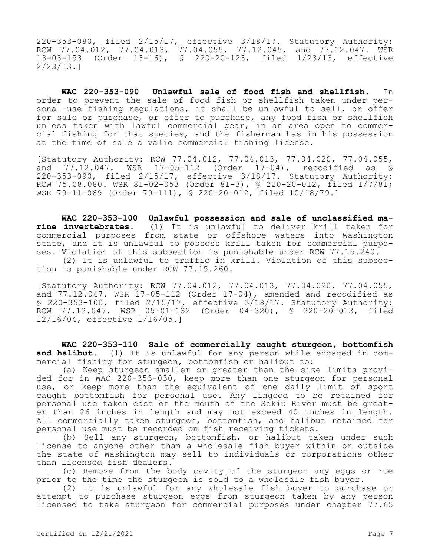220-353-080, filed 2/15/17, effective 3/18/17. Statutory Authority: RCW 77.04.012, 77.04.013, 77.04.055, 77.12.045, and 77.12.047. WSR 13-03-153 (Order 13-16), § 220-20-123, filed 1/23/13, effective 2/23/13.]

**WAC 220-353-090 Unlawful sale of food fish and shellfish.** In order to prevent the sale of food fish or shellfish taken under personal-use fishing regulations, it shall be unlawful to sell, or offer for sale or purchase, or offer to purchase, any food fish or shellfish unless taken with lawful commercial gear, in an area open to commercial fishing for that species, and the fisherman has in his possession at the time of sale a valid commercial fishing license.

[Statutory Authority: RCW 77.04.012, 77.04.013, 77.04.020, 77.04.055, and 77.12.047. WSR 17-05-112 (Order 17-04), recodified as \$ 220-353-090, filed 2/15/17, effective 3/18/17. Statutory Authority: RCW 75.08.080. WSR 81-02-053 (Order 81-3), § 220-20-012, filed 1/7/81; WSR 79-11-069 (Order 79-111), § 220-20-012, filed 10/18/79.]

**WAC 220-353-100 Unlawful possession and sale of unclassified marine invertebrates.** (1) It is unlawful to deliver krill taken for commercial purposes from state or offshore waters into Washington state, and it is unlawful to possess krill taken for commercial purposes. Violation of this subsection is punishable under RCW 77.15.240.

(2) It is unlawful to traffic in krill. Violation of this subsection is punishable under RCW 77.15.260.

[Statutory Authority: RCW 77.04.012, 77.04.013, 77.04.020, 77.04.055, and 77.12.047. WSR 17-05-112 (Order 17-04), amended and recodified as § 220-353-100, filed 2/15/17, effective 3/18/17. Statutory Authority: RCW 77.12.047. WSR 05-01-132 (Order 04-320), § 220-20-013, filed 12/16/04, effective 1/16/05.]

**WAC 220-353-110 Sale of commercially caught sturgeon, bottomfish and halibut.** (1) It is unlawful for any person while engaged in commercial fishing for sturgeon, bottomfish or halibut to:

(a) Keep sturgeon smaller or greater than the size limits provided for in WAC 220-353-030, keep more than one sturgeon for personal use, or keep more than the equivalent of one daily limit of sport caught bottomfish for personal use. Any lingcod to be retained for personal use taken east of the mouth of the Sekiu River must be greater than 26 inches in length and may not exceed 40 inches in length. All commercially taken sturgeon, bottomfish, and halibut retained for personal use must be recorded on fish receiving tickets.

(b) Sell any sturgeon, bottomfish, or halibut taken under such license to anyone other than a wholesale fish buyer within or outside the state of Washington may sell to individuals or corporations other than licensed fish dealers.

(c) Remove from the body cavity of the sturgeon any eggs or roe prior to the time the sturgeon is sold to a wholesale fish buyer.

(2) It is unlawful for any wholesale fish buyer to purchase or attempt to purchase sturgeon eggs from sturgeon taken by any person licensed to take sturgeon for commercial purposes under chapter 77.65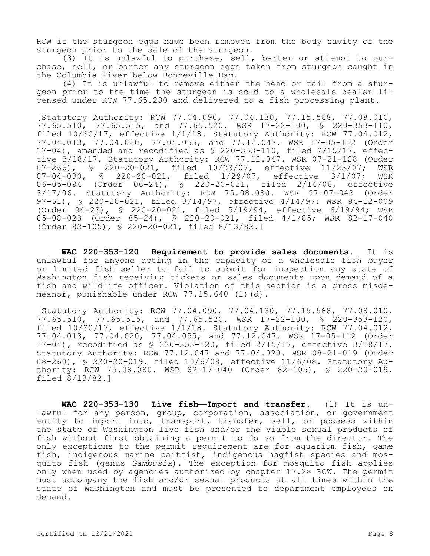RCW if the sturgeon eggs have been removed from the body cavity of the sturgeon prior to the sale of the sturgeon.

(3) It is unlawful to purchase, sell, barter or attempt to purchase, sell, or barter any sturgeon eggs taken from sturgeon caught in the Columbia River below Bonneville Dam.

(4) It is unlawful to remove either the head or tail from a sturgeon prior to the time the sturgeon is sold to a wholesale dealer licensed under RCW 77.65.280 and delivered to a fish processing plant.

[Statutory Authority: RCW 77.04.090, 77.04.130, 77.15.568, 77.08.010, 77.65.510, 77.65.515, and 77.65.520. WSR 17-22-100, § 220-353-110, filed 10/30/17, effective 1/1/18. Statutory Authority: RCW 77.04.012, 77.04.013, 77.04.020, 77.04.055, and 77.12.047. WSR 17-05-112 (Order 17-04), amended and recodified as § 220-353-110, filed 2/15/17, effective 3/18/17. Statutory Authority: RCW 77.12.047. WSR 07-21-128 (Order 07-266), § 220-20-021, filed 10/23/07, effective 11/23/07; WSR 07-04-030, § 220-20-021, filed 1/29/07, effective 3/1/07; WSR<br>06-05-094 (Order 06-24), § 220-20-021, filed 2/14/06, effective § 220-20-021, filed 2/14/06, effective 3/17/06. Statutory Authority: RCW 75.08.080. WSR 97-07-043 (Order 97-51), § 220-20-021, filed 3/14/97, effective 4/14/97; WSR 94-12-009 (Order 94-23), § 220-20-021, filed 5/19/94, effective 6/19/94; WSR 85-08-023 (Order 85-24), § 220-20-021, filed 4/1/85; WSR 82-17-040 (Order 82-105), § 220-20-021, filed 8/13/82.]

**WAC 220-353-120 Requirement to provide sales documents.** It is unlawful for anyone acting in the capacity of a wholesale fish buyer or limited fish seller to fail to submit for inspection any state of Washington fish receiving tickets or sales documents upon demand of a fish and wildlife officer. Violation of this section is a gross misdemeanor, punishable under RCW 77.15.640 (1)(d).

[Statutory Authority: RCW 77.04.090, 77.04.130, 77.15.568, 77.08.010, 77.65.510, 77.65.515, and 77.65.520. WSR 17-22-100, § 220-353-120, filed  $10/30/17$ , effective  $1/1/18$ . Statutory Authority: RCW 77.04.012, 77.04.013, 77.04.020, 77.04.055, and 77.12.047. WSR 17-05-112 (Order 17-04), recodified as § 220-353-120, filed 2/15/17, effective 3/18/17. Statutory Authority: RCW 77.12.047 and 77.04.020. WSR 08-21-019 (Order 08-260), § 220-20-019, filed 10/6/08, effective 11/6/08. Statutory Authority: RCW 75.08.080. WSR 82-17-040 (Order 82-105), § 220-20-019, filed 8/13/82.]

**WAC 220-353-130 Live fish—Import and transfer.** (1) It is unlawful for any person, group, corporation, association, or government entity to import into, transport, transfer, sell, or possess within the state of Washington live fish and/or the viable sexual products of fish without first obtaining a permit to do so from the director. The only exceptions to the permit requirement are for aquarium fish, game fish, indigenous marine baitfish, indigenous hagfish species and mosquito fish (genus *Gambusia*). The exception for mosquito fish applies only when used by agencies authorized by chapter 17.28 RCW. The permit must accompany the fish and/or sexual products at all times within the state of Washington and must be presented to department employees on demand.